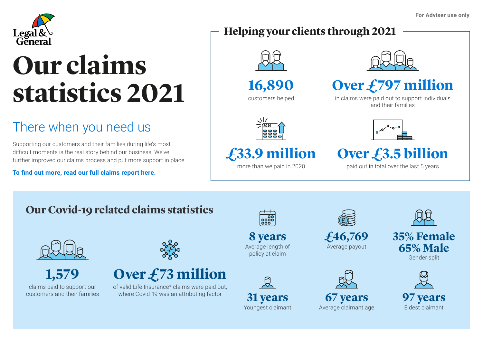

# **Our claims statistics 2021**

### There when you need us

Supporting our customers and their families during life's most difficult moments is the real story behind our business. We've further improved our claims process and put more support in place.

**To find out more, read our full claims report [here](https://adviser.legalandgeneral.com/l/689583/2022-05-16/tq49k).**

#### **Helping your clients through 2021**



**16,890**





#### **Over £797 million**

in claims were paid out to support individuals and their families



# **£33.9 million**

more than we paid in 2020



## **Over £3.5 billion**

paid out in total over the last 5 years

#### **Our Covid-19 related claims statistics**



**1,579** claims paid to support our customers and their families





of valid Life Insurance\* claims were paid out, where Covid-19 was an attributing factor **31 years** 



**8 years** Average length of policy at claim





**£46,769** Average payout







**35% Female 65% Male** Gender split